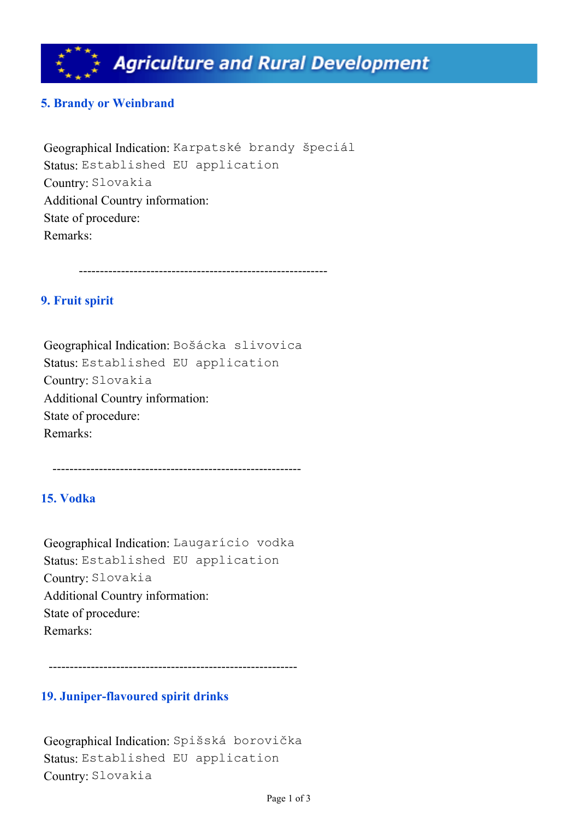

# **5. Brandy or Weinbrand**

Geographical Indication: Karpatské brandy špeciál Status: Established EU application Country: Slovakia Additional Country information: State of procedure: Remarks:

-----------------------------------------------------------

# **9. Fruit spirit**

Geographical Indication: Bošácka slivovica Status: Established EU application Country: Slovakia Additional Country information: State of procedure: Remarks:

-----------------------------------------------------------

# **15. Vodka**

Geographical Indication: Laugarício vodka Status: Established EU application Country: Slovakia Additional Country information: State of procedure: Remarks:

-----------------------------------------------------------

#### **19. Juniper-flavoured spirit drinks**

Geographical Indication: Spišská borovička Status: Established EU application Country: Slovakia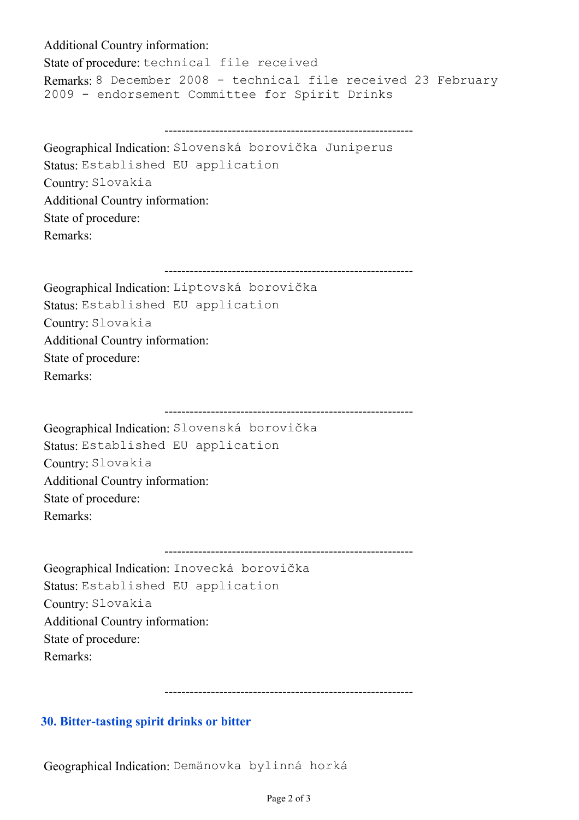### Additional Country information:

State of procedure: technical file received Remarks: 8 December 2008 - technical file received 23 February 2009 - endorsement Committee for Spirit Drinks

-----------------------------------------------------------

Geographical Indication: Slovenská borovička Juniperus Status: Established EU application Country: Slovakia Additional Country information: State of procedure: Remarks:

-----------------------------------------------------------

Geographical Indication: Liptovská borovička Status: Established EU application Country: Slovakia Additional Country information: State of procedure: Remarks:

----------------------------------------------------------- Geographical Indication: Slovenská borovička Status: Established EU application Country: Slovakia Additional Country information: State of procedure: Remarks:

Geographical Indication: Inovecká borovička Status: Established EU application Country: Slovakia Additional Country information: State of procedure: Remarks:

-----------------------------------------------------------

-----------------------------------------------------------

### **30. Bitter-tasting spirit drinks or bitter**

Geographical Indication: Demänovka bylinná horká